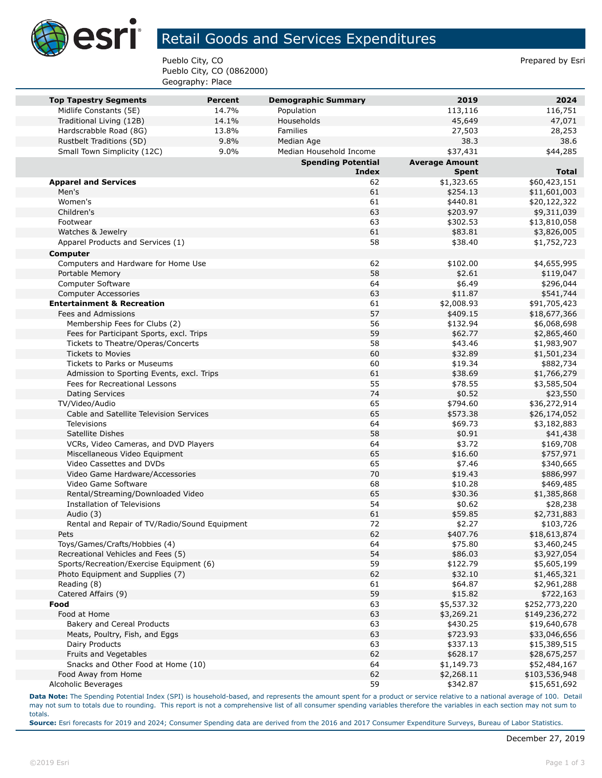

## Retail Goods and Services Expenditures

Pueblo City, CO **Prepared by Estimate Accord Prepared by Estimate Accord Prepared by Estimate Accord Prepared by Estimate Accord Prepared by Estimate Accord Prepared by Estimate Accord Prepared by Estimate Accord Prepared** Pueblo City, CO (0862000) Geography: Place

| <b>Top Tapestry Segments</b>                  | <b>Percent</b> | <b>Demographic Summary</b> | 2019                  | 2024          |
|-----------------------------------------------|----------------|----------------------------|-----------------------|---------------|
| Midlife Constants (5E)                        | 14.7%          | Population                 | 113,116               | 116,751       |
| Traditional Living (12B)                      | 14.1%          | Households                 | 45,649                | 47,071        |
| Hardscrabble Road (8G)                        | 13.8%          | Families                   | 27,503                | 28,253        |
| Rustbelt Traditions (5D)                      | 9.8%           | Median Age                 | 38.3                  | 38.6          |
| Small Town Simplicity (12C)                   | 9.0%           | Median Household Income    | \$37,431              | \$44,285      |
|                                               |                | <b>Spending Potential</b>  | <b>Average Amount</b> |               |
|                                               |                | <b>Index</b>               | <b>Spent</b>          | <b>Total</b>  |
| <b>Apparel and Services</b>                   |                | 62                         | \$1,323.65            | \$60,423,151  |
| Men's                                         |                | 61                         | \$254.13              | \$11,601,003  |
| Women's                                       |                | 61                         | \$440.81              | \$20,122,322  |
| Children's                                    |                | 63                         | \$203.97              | \$9,311,039   |
| Footwear                                      |                | 63                         | \$302.53              | \$13,810,058  |
| Watches & Jewelry                             |                | 61                         | \$83.81               | \$3,826,005   |
| Apparel Products and Services (1)             |                | 58                         | \$38.40               | \$1,752,723   |
| Computer                                      |                |                            |                       |               |
| Computers and Hardware for Home Use           |                | 62                         | \$102.00              | \$4,655,995   |
| Portable Memory                               |                | 58                         | \$2.61                | \$119,047     |
| Computer Software                             |                | 64                         | \$6.49                | \$296,044     |
| <b>Computer Accessories</b>                   |                | 63                         | \$11.87               | \$541,744     |
| <b>Entertainment &amp; Recreation</b>         |                | 61                         | \$2,008.93            | \$91,705,423  |
| Fees and Admissions                           |                | 57                         | \$409.15              | \$18,677,366  |
| Membership Fees for Clubs (2)                 |                | 56                         | \$132.94              | \$6,068,698   |
| Fees for Participant Sports, excl. Trips      |                | 59                         | \$62.77               | \$2,865,460   |
| Tickets to Theatre/Operas/Concerts            |                | 58                         | \$43.46               | \$1,983,907   |
| <b>Tickets to Movies</b>                      |                | 60                         | \$32.89               | \$1,501,234   |
| Tickets to Parks or Museums                   |                | 60                         | \$19.34               | \$882,734     |
| Admission to Sporting Events, excl. Trips     |                | 61                         | \$38.69               | \$1,766,279   |
| Fees for Recreational Lessons                 |                | 55                         | \$78.55               | \$3,585,504   |
| <b>Dating Services</b>                        |                | 74                         | \$0.52                | \$23,550      |
| TV/Video/Audio                                |                | 65                         | \$794.60              | \$36,272,914  |
| Cable and Satellite Television Services       |                | 65                         | \$573.38              | \$26,174,052  |
| <b>Televisions</b>                            |                | 64                         | \$69.73               | \$3,182,883   |
| Satellite Dishes                              |                | 58                         | \$0.91                | \$41,438      |
| VCRs, Video Cameras, and DVD Players          |                | 64                         | \$3.72                | \$169,708     |
| Miscellaneous Video Equipment                 |                | 65                         | \$16.60               | \$757,971     |
| Video Cassettes and DVDs                      |                | 65                         | \$7.46                | \$340,665     |
| Video Game Hardware/Accessories               |                | 70                         | \$19.43               | \$886,997     |
| Video Game Software                           |                | 68                         | \$10.28               | \$469,485     |
| Rental/Streaming/Downloaded Video             |                | 65                         | \$30.36               | \$1,385,868   |
| Installation of Televisions                   |                | 54                         | \$0.62                | \$28,238      |
| Audio (3)                                     |                | 61                         | \$59.85               | \$2,731,883   |
| Rental and Repair of TV/Radio/Sound Equipment |                | 72                         | \$2.27                | \$103,726     |
| Pets                                          |                | 62                         | \$407.76              | \$18,613,874  |
| Toys/Games/Crafts/Hobbies (4)                 |                | 64                         | \$75.80               | \$3,460,245   |
| Recreational Vehicles and Fees (5)            |                | 54                         | \$86.03               | \$3,927,054   |
| Sports/Recreation/Exercise Equipment (6)      |                | 59                         | \$122.79              | \$5,605,199   |
| Photo Equipment and Supplies (7)              |                | 62                         | \$32.10               | \$1,465,321   |
| Reading (8)                                   |                | 61                         | \$64.87               | \$2,961,288   |
| Catered Affairs (9)                           |                | 59                         | \$15.82               | \$722,163     |
| Food                                          |                | 63                         | \$5,537.32            | \$252,773,220 |
| Food at Home                                  |                | 63                         | \$3,269.21            | \$149,236,272 |
| Bakery and Cereal Products                    |                | 63                         | \$430.25              | \$19,640,678  |
| Meats, Poultry, Fish, and Eggs                |                | 63                         | \$723.93              | \$33,046,656  |
| Dairy Products                                |                | 63                         | \$337.13              | \$15,389,515  |
| Fruits and Vegetables                         |                | 62                         | \$628.17              | \$28,675,257  |
| Snacks and Other Food at Home (10)            |                | 64                         | \$1,149.73            | \$52,484,167  |
| Food Away from Home                           |                | 62                         | \$2,268.11            | \$103,536,948 |
| Alcoholic Beverages                           |                | 59                         | \$342.87              | \$15,651,692  |

**Data Note:** The Spending Potential Index (SPI) is household-based, and represents the amount spent for a product or service relative to a national average of 100. Detail may not sum to totals due to rounding. This report is not a comprehensive list of all consumer spending variables therefore the variables in each section may not sum to totals.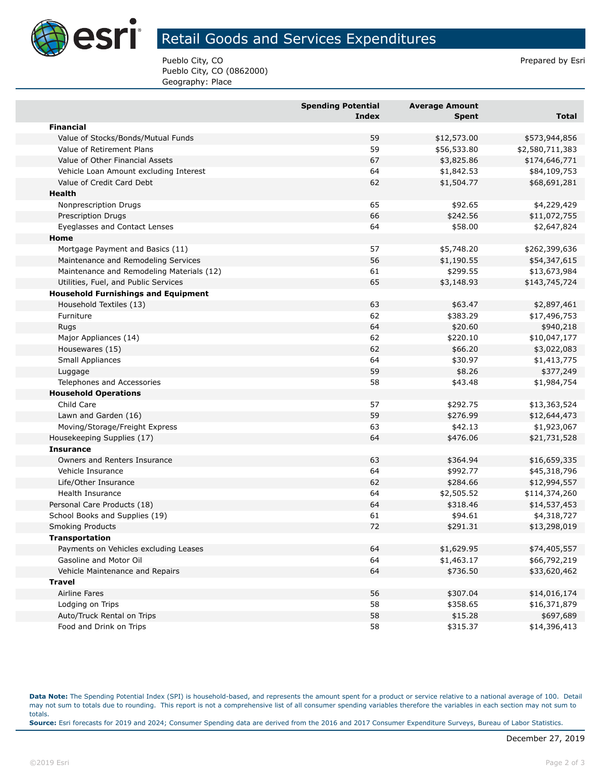

## Retail Goods and Services Expenditures

Pueblo City, CO **Prepared by Estimate Accord Prepared by Estimate Accord Prepared by Estimate Accord Prepared by Estimate Accord Prepared by Estimate Accord Prepared by Estimate Accord Prepared by Estimate Accord Prepared** Pueblo City, CO (0862000) Geography: Place

|                                            | <b>Spending Potential</b><br><b>Index</b> | <b>Average Amount</b><br>Spent | <b>Total</b>    |
|--------------------------------------------|-------------------------------------------|--------------------------------|-----------------|
| <b>Financial</b>                           |                                           |                                |                 |
| Value of Stocks/Bonds/Mutual Funds         | 59                                        | \$12,573.00                    | \$573,944,856   |
| Value of Retirement Plans                  | 59                                        | \$56,533.80                    | \$2,580,711,383 |
| Value of Other Financial Assets            | 67                                        | \$3,825.86                     | \$174,646,771   |
| Vehicle Loan Amount excluding Interest     | 64                                        | \$1,842.53                     | \$84,109,753    |
| Value of Credit Card Debt                  | 62                                        | \$1,504.77                     | \$68,691,281    |
| Health                                     |                                           |                                |                 |
| Nonprescription Drugs                      | 65                                        | \$92.65                        | \$4,229,429     |
| <b>Prescription Drugs</b>                  | 66                                        | \$242.56                       | \$11,072,755    |
| Eyeglasses and Contact Lenses              | 64                                        | \$58.00                        | \$2,647,824     |
| Home                                       |                                           |                                |                 |
| Mortgage Payment and Basics (11)           | 57                                        | \$5,748.20                     | \$262,399,636   |
| Maintenance and Remodeling Services        | 56                                        | \$1,190.55                     | \$54,347,615    |
| Maintenance and Remodeling Materials (12)  | 61                                        | \$299.55                       | \$13,673,984    |
| Utilities, Fuel, and Public Services       | 65                                        | \$3,148.93                     | \$143,745,724   |
| <b>Household Furnishings and Equipment</b> |                                           |                                |                 |
| Household Textiles (13)                    | 63                                        | \$63.47                        | \$2,897,461     |
| Furniture                                  | 62                                        | \$383.29                       | \$17,496,753    |
| Rugs                                       | 64                                        | \$20.60                        | \$940,218       |
| Major Appliances (14)                      | 62                                        | \$220.10                       | \$10,047,177    |
| Housewares (15)                            | 62                                        | \$66.20                        | \$3,022,083     |
| Small Appliances                           | 64                                        | \$30.97                        | \$1,413,775     |
| Luggage                                    | 59                                        | \$8.26                         | \$377,249       |
| Telephones and Accessories                 | 58                                        | \$43.48                        | \$1,984,754     |
| <b>Household Operations</b>                |                                           |                                |                 |
| Child Care                                 | 57                                        | \$292.75                       | \$13,363,524    |
| Lawn and Garden (16)                       | 59                                        | \$276.99                       | \$12,644,473    |
| Moving/Storage/Freight Express             | 63                                        | \$42.13                        | \$1,923,067     |
| Housekeeping Supplies (17)                 | 64                                        | \$476.06                       | \$21,731,528    |
| <b>Insurance</b>                           |                                           |                                |                 |
| Owners and Renters Insurance               | 63                                        | \$364.94                       | \$16,659,335    |
| Vehicle Insurance                          | 64                                        | \$992.77                       | \$45,318,796    |
| Life/Other Insurance                       | 62                                        | \$284.66                       | \$12,994,557    |
| Health Insurance                           | 64                                        | \$2,505.52                     | \$114,374,260   |
| Personal Care Products (18)                | 64                                        | \$318.46                       | \$14,537,453    |
| School Books and Supplies (19)             | 61                                        | \$94.61                        | \$4,318,727     |
| <b>Smoking Products</b>                    | 72                                        | \$291.31                       | \$13,298,019    |
| Transportation                             |                                           |                                |                 |
| Payments on Vehicles excluding Leases      | 64                                        | \$1,629.95                     | \$74,405,557    |
| Gasoline and Motor Oil                     | 64                                        | \$1,463.17                     | \$66,792,219    |
| Vehicle Maintenance and Repairs            | 64                                        | \$736.50                       | \$33,620,462    |
| <b>Travel</b>                              |                                           |                                |                 |
| <b>Airline Fares</b>                       | 56                                        | \$307.04                       | \$14,016,174    |
| Lodging on Trips                           | 58                                        | \$358.65                       | \$16,371,879    |
| Auto/Truck Rental on Trips                 | 58                                        | \$15.28                        | \$697,689       |
| Food and Drink on Trips                    | 58                                        | \$315.37                       | \$14,396,413    |

**Data Note:** The Spending Potential Index (SPI) is household-based, and represents the amount spent for a product or service relative to a national average of 100. Detail may not sum to totals due to rounding. This report is not a comprehensive list of all consumer spending variables therefore the variables in each section may not sum to totals. **Source:** Esri forecasts for 2019 and 2024; Consumer Spending data are derived from the 2016 and 2017 Consumer Expenditure Surveys, Bureau of Labor Statistics.